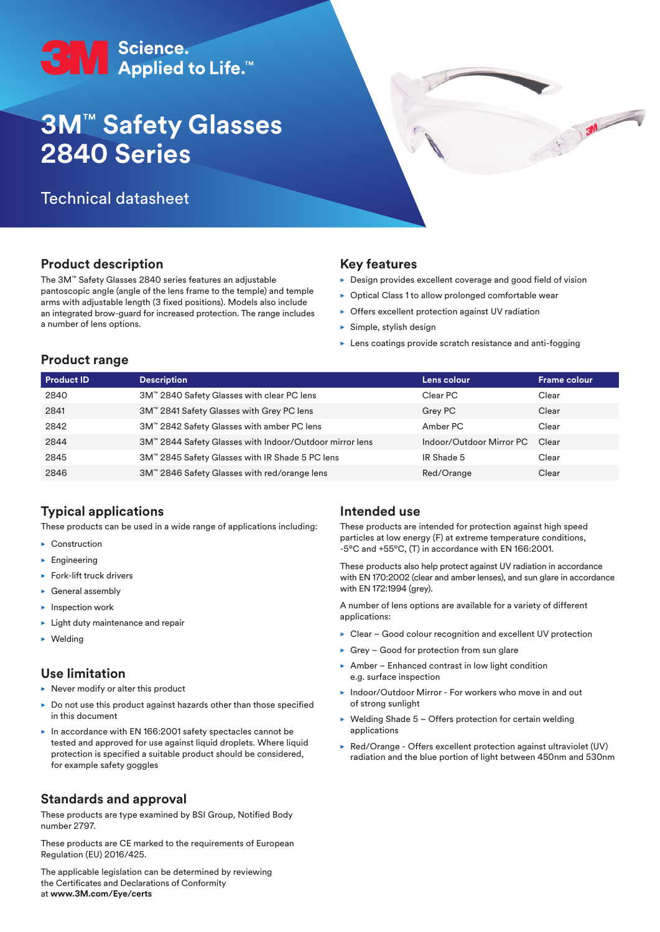

# **3M**™ **Safety Glasses 2840 Series**

## Technical datasheet

## **Product description**

The 3M™ Safety Glasses 2840 series features an adjustable pantoscopic angle (angle of the lens frame to the temple) and temple arms with adjustable length (3 fixed positions). Models also include an integrated brow-guard for increased protection. The range includes a number of lens options.

#### **Key features**

 $\triangleright$  Design provides excellent coverage and good field of vision

 $\frac{3N}{N}$ 

- $\triangleright$  Optical Class 1 to allow prolonged comfortable wear
- $\triangleright$  Offers excellent protection against UV radiation
- $\blacktriangleright$  Simple, stylish design
- $\blacktriangleright$  Lens coatings provide scratch resistance and anti-fogging

#### **Product range**

| <b>Product ID</b> | <b>Description</b>                                      | Lens colour              | <b>Frame colour</b> |
|-------------------|---------------------------------------------------------|--------------------------|---------------------|
| 2840              | 3M™ 2840 Safety Glasses with clear PC lens              | Clear PC                 | Clear               |
| 2841              | 3M™ 2841 Safety Glasses with Grey PC lens               | Grey PC                  | Clear               |
| 2842              | 3M™ 2842 Safety Glasses with amber PC lens              | Amber PC                 | Clear               |
| 2844              | 3M™ 2844 Safety Glasses with Indoor/Outdoor mirror lens | Indoor/Outdoor Mirror PC | Clear               |
| 2845              | 3M™ 2845 Safety Glasses with IR Shade 5 PC lens         | IR Shade 5               | Clear               |
| 2846              | 3M™ 2846 Safety Glasses with red/orange lens            | Red/Orange               | Clear               |

## **Typical applications**

These products can be used in a wide range of applications including:

- $\blacktriangleright$  Construction
- $\blacktriangleright$  Engineering
- $\blacktriangleright$  Fork-lift truck drivers
- $\blacktriangleright$  General assembly
- $\blacktriangleright$  Inspection work
- $\blacktriangleright$  Light duty maintenance and repair
- $\blacktriangleright$  Welding

#### **Use limitation**

- $\blacktriangleright$  Never modify or alter this product
- $\blacktriangleright$  Do not use this product against hazards other than those specified in this document
- $\blacktriangleright$  In accordance with EN 166:2001 safety spectacles cannot be tested and approved for use against liquid droplets. Where liquid protection is specified a suitable product should be considered, for example safety goggles

#### **Standards and approval**

These products are type examined by BSI Group, Notified Body number 2797.

These products are CE marked to the requirements of European Regulation (EU) 2016/425.

The applicable legislation can be determined by reviewing the Certificates and Declarations of Conformity at **www.3M.com/Eye/certs**

#### **Intended use**

These products are intended for protection against high speed particles at low energy (F) at extreme temperature conditions, -5ºC and +55ºC, (T) in accordance with EN 166:2001.

These products also help protect against UV radiation in accordance with EN 170:2002 (clear and amber lenses), and sun glare in accordance with EN 172:1994 (grey).

A number of lens options are available for a variety of different applications:

- $\triangleright$  Clear Good colour recognition and excellent UV protection
- $\triangleright$  Grey Good for protection from sun glare
- $\triangleright$  Amber Enhanced contrast in low light condition e.g. surface inspection
- **Indoor/Outdoor Mirror For workers who move in and out** of strong sunlight
- $\blacktriangleright$  Welding Shade 5 Offers protection for certain welding applications
- $\triangleright$  Red/Orange Offers excellent protection against ultraviolet (UV) radiation and the blue portion of light between 450nm and 530nm